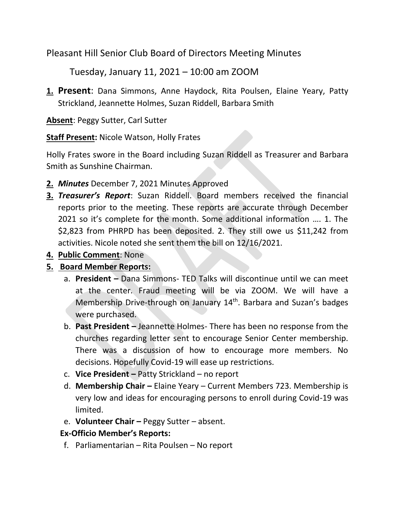Pleasant Hill Senior Club Board of Directors Meeting Minutes

Tuesday, January 11, 2021 – 10:00 am ZOOM

**1. Present**: Dana Simmons, Anne Haydock, Rita Poulsen, Elaine Yeary, Patty Strickland, Jeannette Holmes, Suzan Riddell, Barbara Smith

**Absent**: Peggy Sutter, Carl Sutter

**Staff Present:** Nicole Watson, Holly Frates

Holly Frates swore in the Board including Suzan Riddell as Treasurer and Barbara Smith as Sunshine Chairman.

- **2.** *Minutes* December 7, 2021 Minutes Approved
- **3.** *Treasurer's Report*: Suzan Riddell. Board members received the financial reports prior to the meeting. These reports are accurate through December 2021 so it's complete for the month. Some additional information …. 1. The \$2,823 from PHRPD has been deposited. 2. They still owe us \$11,242 from activities. Nicole noted she sent them the bill on 12/16/2021.
- **4. Public Comment**: None

## **5. Board Member Reports:**

- a. **President –** Dana Simmons- TED Talks will discontinue until we can meet at the center. Fraud meeting will be via ZOOM. We will have a Membership Drive-through on January 14<sup>th</sup>. Barbara and Suzan's badges were purchased.
- b. **Past President –** Jeannette Holmes- There has been no response from the churches regarding letter sent to encourage Senior Center membership. There was a discussion of how to encourage more members. No decisions. Hopefully Covid-19 will ease up restrictions.
- c. **Vice President –** Patty Strickland no report
- d. **Membership Chair –** Elaine Yeary Current Members 723. Membership is very low and ideas for encouraging persons to enroll during Covid-19 was limited.
- e. **Volunteer Chair –** Peggy Sutter absent.

## **Ex-Officio Member's Reports:**

f. Parliamentarian – Rita Poulsen – No report